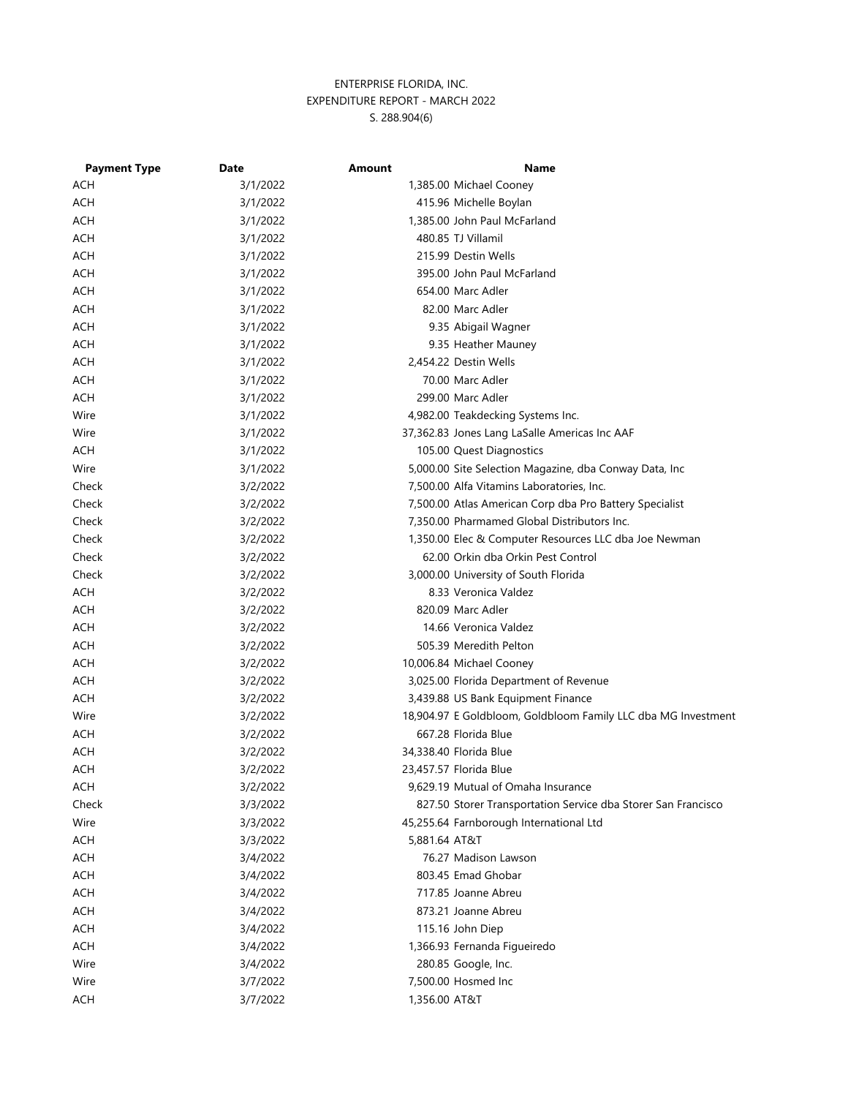| <b>Payment Type</b> | <b>Date</b> | <b>Amount</b> | <b>Name</b>                                                   |
|---------------------|-------------|---------------|---------------------------------------------------------------|
| ACH                 | 3/1/2022    |               | 1,385.00 Michael Cooney                                       |
| ACH                 | 3/1/2022    |               | 415.96 Michelle Boylan                                        |
| <b>ACH</b>          | 3/1/2022    |               | 1,385.00 John Paul McFarland                                  |
| <b>ACH</b>          | 3/1/2022    |               | 480.85 TJ Villamil                                            |
| <b>ACH</b>          | 3/1/2022    |               | 215.99 Destin Wells                                           |
| ACH                 | 3/1/2022    |               | 395.00 John Paul McFarland                                    |
| <b>ACH</b>          | 3/1/2022    |               | 654.00 Marc Adler                                             |
| <b>ACH</b>          | 3/1/2022    |               | 82.00 Marc Adler                                              |
| <b>ACH</b>          | 3/1/2022    |               | 9.35 Abigail Wagner                                           |
| <b>ACH</b>          | 3/1/2022    |               | 9.35 Heather Mauney                                           |
| ACH                 | 3/1/2022    |               | 2,454.22 Destin Wells                                         |
| ACH                 | 3/1/2022    |               | 70.00 Marc Adler                                              |
| <b>ACH</b>          | 3/1/2022    |               | 299.00 Marc Adler                                             |
| Wire                | 3/1/2022    |               | 4,982.00 Teakdecking Systems Inc.                             |
| Wire                | 3/1/2022    |               | 37,362.83 Jones Lang LaSalle Americas Inc AAF                 |
| <b>ACH</b>          | 3/1/2022    |               | 105.00 Quest Diagnostics                                      |
| Wire                | 3/1/2022    |               | 5,000.00 Site Selection Magazine, dba Conway Data, Inc        |
| Check               | 3/2/2022    |               | 7,500.00 Alfa Vitamins Laboratories, Inc.                     |
| Check               | 3/2/2022    |               | 7,500.00 Atlas American Corp dba Pro Battery Specialist       |
| Check               | 3/2/2022    |               | 7,350.00 Pharmamed Global Distributors Inc.                   |
| Check               | 3/2/2022    |               | 1,350.00 Elec & Computer Resources LLC dba Joe Newman         |
| Check               | 3/2/2022    |               | 62.00 Orkin dba Orkin Pest Control                            |
| Check               | 3/2/2022    |               | 3,000.00 University of South Florida                          |
| <b>ACH</b>          | 3/2/2022    |               | 8.33 Veronica Valdez                                          |
| <b>ACH</b>          | 3/2/2022    |               | 820.09 Marc Adler                                             |
| <b>ACH</b>          | 3/2/2022    |               | 14.66 Veronica Valdez                                         |
| <b>ACH</b>          | 3/2/2022    |               | 505.39 Meredith Pelton                                        |
| ACH                 | 3/2/2022    |               | 10,006.84 Michael Cooney                                      |
| <b>ACH</b>          | 3/2/2022    |               | 3,025.00 Florida Department of Revenue                        |
| <b>ACH</b>          | 3/2/2022    |               | 3,439.88 US Bank Equipment Finance                            |
| Wire                | 3/2/2022    |               | 18,904.97 E Goldbloom, Goldbloom Family LLC dba MG Investment |
| ACH                 | 3/2/2022    |               | 667.28 Florida Blue                                           |
| ACH                 | 3/2/2022    |               | 34,338.40 Florida Blue                                        |
| <b>ACH</b>          | 3/2/2022    |               | 23,457.57 Florida Blue                                        |
| ACH                 | 3/2/2022    |               | 9,629.19 Mutual of Omaha Insurance                            |
| Check               | 3/3/2022    |               | 827.50 Storer Transportation Service dba Storer San Francisco |
| Wire                | 3/3/2022    |               | 45,255.64 Farnborough International Ltd                       |
| <b>ACH</b>          | 3/3/2022    | 5,881.64 AT&T |                                                               |
| <b>ACH</b>          | 3/4/2022    |               | 76.27 Madison Lawson                                          |
| <b>ACH</b>          | 3/4/2022    |               | 803.45 Emad Ghobar                                            |
| <b>ACH</b>          | 3/4/2022    |               | 717.85 Joanne Abreu                                           |
| <b>ACH</b>          | 3/4/2022    |               | 873.21 Joanne Abreu                                           |
| <b>ACH</b>          | 3/4/2022    |               | 115.16 John Diep                                              |
| <b>ACH</b>          | 3/4/2022    |               | 1,366.93 Fernanda Figueiredo                                  |
| Wire                | 3/4/2022    |               | 280.85 Google, Inc.                                           |
| Wire                | 3/7/2022    |               | 7,500.00 Hosmed Inc                                           |
| <b>ACH</b>          | 3/7/2022    | 1,356.00 AT&T |                                                               |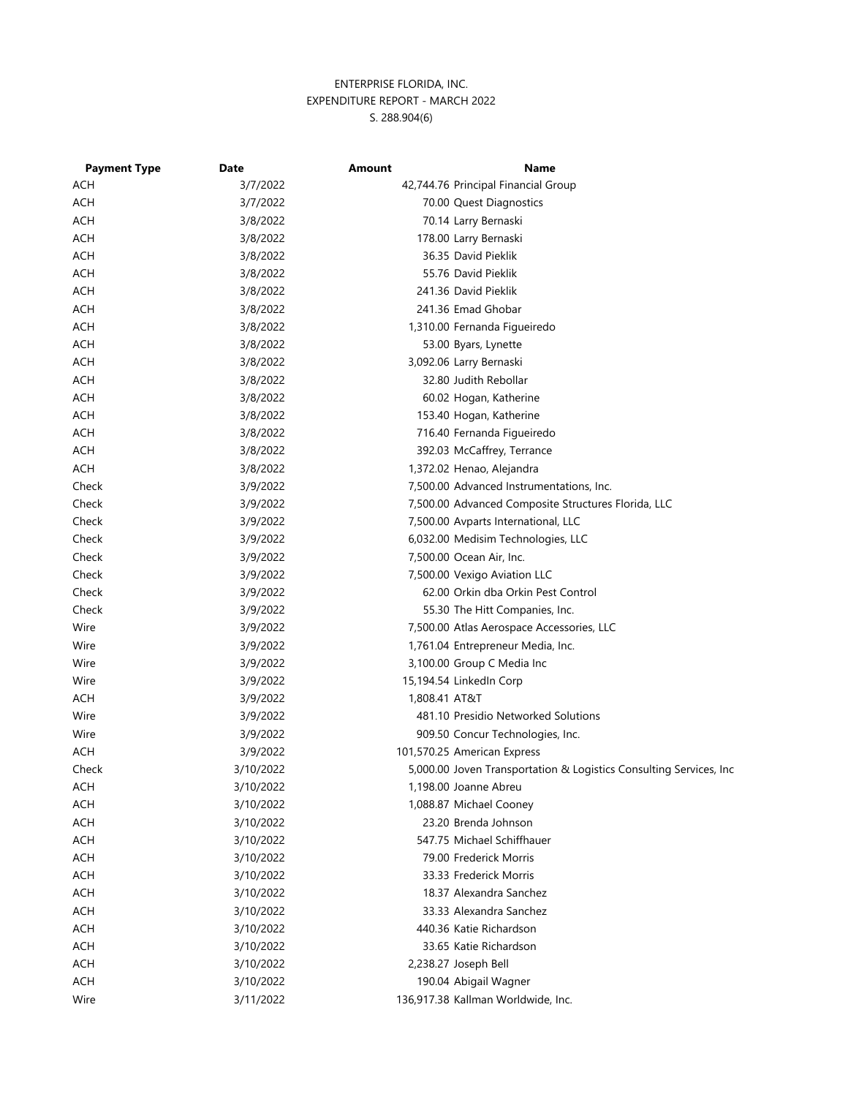| <b>Payment Type</b> | Date      | Amount        | Name                                                               |
|---------------------|-----------|---------------|--------------------------------------------------------------------|
| ACH                 | 3/7/2022  |               | 42,744.76 Principal Financial Group                                |
| <b>ACH</b>          | 3/7/2022  |               | 70.00 Quest Diagnostics                                            |
| <b>ACH</b>          | 3/8/2022  |               | 70.14 Larry Bernaski                                               |
| <b>ACH</b>          | 3/8/2022  |               | 178.00 Larry Bernaski                                              |
| <b>ACH</b>          | 3/8/2022  |               | 36.35 David Pieklik                                                |
| <b>ACH</b>          | 3/8/2022  |               | 55.76 David Pieklik                                                |
| <b>ACH</b>          | 3/8/2022  |               | 241.36 David Pieklik                                               |
| <b>ACH</b>          | 3/8/2022  |               | 241.36 Emad Ghobar                                                 |
| <b>ACH</b>          | 3/8/2022  |               | 1,310.00 Fernanda Figueiredo                                       |
| <b>ACH</b>          | 3/8/2022  |               | 53.00 Byars, Lynette                                               |
| <b>ACH</b>          | 3/8/2022  |               | 3,092.06 Larry Bernaski                                            |
| <b>ACH</b>          | 3/8/2022  |               | 32.80 Judith Rebollar                                              |
| <b>ACH</b>          | 3/8/2022  |               | 60.02 Hogan, Katherine                                             |
| <b>ACH</b>          | 3/8/2022  |               | 153.40 Hogan, Katherine                                            |
| <b>ACH</b>          | 3/8/2022  |               | 716.40 Fernanda Figueiredo                                         |
| <b>ACH</b>          | 3/8/2022  |               | 392.03 McCaffrey, Terrance                                         |
| <b>ACH</b>          | 3/8/2022  |               | 1,372.02 Henao, Alejandra                                          |
| Check               | 3/9/2022  |               | 7,500.00 Advanced Instrumentations, Inc.                           |
| Check               | 3/9/2022  |               | 7,500.00 Advanced Composite Structures Florida, LLC                |
| Check               | 3/9/2022  |               | 7,500.00 Avparts International, LLC                                |
| Check               | 3/9/2022  |               | 6,032.00 Medisim Technologies, LLC                                 |
| Check               | 3/9/2022  |               | 7,500.00 Ocean Air, Inc.                                           |
| Check               | 3/9/2022  |               | 7,500.00 Vexigo Aviation LLC                                       |
| Check               | 3/9/2022  |               | 62.00 Orkin dba Orkin Pest Control                                 |
| Check               | 3/9/2022  |               | 55.30 The Hitt Companies, Inc.                                     |
| Wire                | 3/9/2022  |               | 7,500.00 Atlas Aerospace Accessories, LLC                          |
| Wire                | 3/9/2022  |               | 1,761.04 Entrepreneur Media, Inc.                                  |
| Wire                | 3/9/2022  |               | 3,100.00 Group C Media Inc                                         |
| Wire                | 3/9/2022  |               | 15,194.54 LinkedIn Corp                                            |
| ACH                 | 3/9/2022  | 1,808.41 AT&T |                                                                    |
| Wire                | 3/9/2022  |               | 481.10 Presidio Networked Solutions                                |
| Wire                | 3/9/2022  |               | 909.50 Concur Technologies, Inc.                                   |
| <b>ACH</b>          | 3/9/2022  |               | 101,570.25 American Express                                        |
| Check               | 3/10/2022 |               | 5,000.00 Joven Transportation & Logistics Consulting Services, Inc |
| <b>ACH</b>          | 3/10/2022 |               | 1,198.00 Joanne Abreu                                              |
| ACH                 | 3/10/2022 |               | 1,088.87 Michael Cooney                                            |
| <b>ACH</b>          | 3/10/2022 |               | 23.20 Brenda Johnson                                               |
| <b>ACH</b>          | 3/10/2022 |               | 547.75 Michael Schiffhauer                                         |
| <b>ACH</b>          | 3/10/2022 |               | 79.00 Frederick Morris                                             |
| ACH                 | 3/10/2022 |               | 33.33 Frederick Morris                                             |
| <b>ACH</b>          | 3/10/2022 |               | 18.37 Alexandra Sanchez                                            |
| <b>ACH</b>          | 3/10/2022 |               | 33.33 Alexandra Sanchez                                            |
| <b>ACH</b>          | 3/10/2022 |               | 440.36 Katie Richardson                                            |
| <b>ACH</b>          | 3/10/2022 |               | 33.65 Katie Richardson                                             |
| <b>ACH</b>          | 3/10/2022 |               | 2,238.27 Joseph Bell                                               |
| <b>ACH</b>          | 3/10/2022 |               | 190.04 Abigail Wagner                                              |
| Wire                | 3/11/2022 |               | 136,917.38 Kallman Worldwide, Inc.                                 |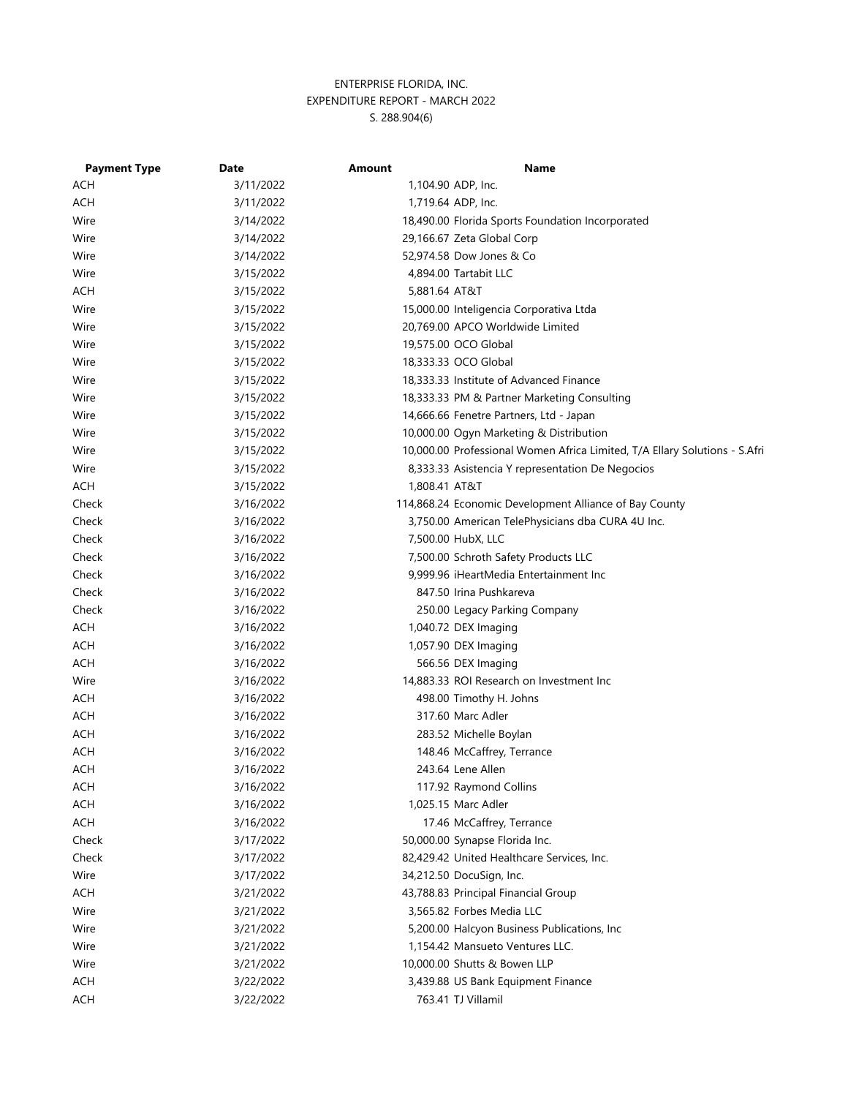| <b>Payment Type</b> | Date      | Amount        | <b>Name</b>                                                                |
|---------------------|-----------|---------------|----------------------------------------------------------------------------|
| ACH                 | 3/11/2022 |               | 1,104.90 ADP, Inc.                                                         |
| ACH                 | 3/11/2022 |               | 1,719.64 ADP, Inc.                                                         |
| Wire                | 3/14/2022 |               | 18,490.00 Florida Sports Foundation Incorporated                           |
| Wire                | 3/14/2022 |               | 29,166.67 Zeta Global Corp                                                 |
| Wire                | 3/14/2022 |               | 52,974.58 Dow Jones & Co                                                   |
| Wire                | 3/15/2022 |               | 4,894.00 Tartabit LLC                                                      |
| ACH                 | 3/15/2022 | 5,881.64 AT&T |                                                                            |
| Wire                | 3/15/2022 |               | 15,000.00 Inteligencia Corporativa Ltda                                    |
| Wire                | 3/15/2022 |               | 20,769.00 APCO Worldwide Limited                                           |
| Wire                | 3/15/2022 |               | 19,575.00 OCO Global                                                       |
| Wire                | 3/15/2022 |               | 18,333.33 OCO Global                                                       |
| Wire                | 3/15/2022 |               | 18,333.33 Institute of Advanced Finance                                    |
| Wire                | 3/15/2022 |               | 18,333.33 PM & Partner Marketing Consulting                                |
| Wire                | 3/15/2022 |               | 14,666.66 Fenetre Partners, Ltd - Japan                                    |
| Wire                | 3/15/2022 |               | 10,000.00 Ogyn Marketing & Distribution                                    |
| Wire                | 3/15/2022 |               | 10,000.00 Professional Women Africa Limited, T/A Ellary Solutions - S.Afri |
| Wire                | 3/15/2022 |               | 8,333.33 Asistencia Y representation De Negocios                           |
| <b>ACH</b>          | 3/15/2022 | 1,808.41 AT&T |                                                                            |
| Check               | 3/16/2022 |               | 114,868.24 Economic Development Alliance of Bay County                     |
| Check               | 3/16/2022 |               | 3,750.00 American TelePhysicians dba CURA 4U Inc.                          |
| Check               | 3/16/2022 |               | 7,500.00 HubX, LLC                                                         |
| Check               | 3/16/2022 |               | 7,500.00 Schroth Safety Products LLC                                       |
| Check               | 3/16/2022 |               | 9,999.96 iHeartMedia Entertainment Inc                                     |
| Check               | 3/16/2022 |               | 847.50 Irina Pushkareva                                                    |
| Check               | 3/16/2022 |               | 250.00 Legacy Parking Company                                              |
| <b>ACH</b>          | 3/16/2022 |               | 1,040.72 DEX Imaging                                                       |
| <b>ACH</b>          | 3/16/2022 |               | 1,057.90 DEX Imaging                                                       |
| <b>ACH</b>          | 3/16/2022 |               | 566.56 DEX Imaging                                                         |
| Wire                | 3/16/2022 |               | 14,883.33 ROI Research on Investment Inc                                   |
| ACH                 | 3/16/2022 |               | 498.00 Timothy H. Johns                                                    |
| ACH                 | 3/16/2022 |               | 317.60 Marc Adler                                                          |
| ACH                 | 3/16/2022 |               | 283.52 Michelle Boylan                                                     |
| ACH                 | 3/16/2022 |               | 148.46 McCaffrey, Terrance                                                 |
| <b>ACH</b>          | 3/16/2022 |               | 243.64 Lene Allen                                                          |
| ACH                 | 3/16/2022 |               | 117.92 Raymond Collins                                                     |
| <b>ACH</b>          | 3/16/2022 |               | 1,025.15 Marc Adler                                                        |
| ACH                 | 3/16/2022 |               | 17.46 McCaffrey, Terrance                                                  |
| Check               | 3/17/2022 |               | 50,000.00 Synapse Florida Inc.                                             |
| Check               | 3/17/2022 |               | 82,429.42 United Healthcare Services, Inc.                                 |
| Wire                | 3/17/2022 |               | 34,212.50 DocuSign, Inc.                                                   |
| <b>ACH</b>          | 3/21/2022 |               | 43,788.83 Principal Financial Group                                        |
| Wire                | 3/21/2022 |               | 3,565.82 Forbes Media LLC                                                  |
| Wire                | 3/21/2022 |               | 5,200.00 Halcyon Business Publications, Inc                                |
| Wire                | 3/21/2022 |               | 1,154.42 Mansueto Ventures LLC.                                            |
| Wire                | 3/21/2022 |               | 10,000.00 Shutts & Bowen LLP                                               |
| ACH                 | 3/22/2022 |               | 3,439.88 US Bank Equipment Finance                                         |
| <b>ACH</b>          | 3/22/2022 |               | 763.41 TJ Villamil                                                         |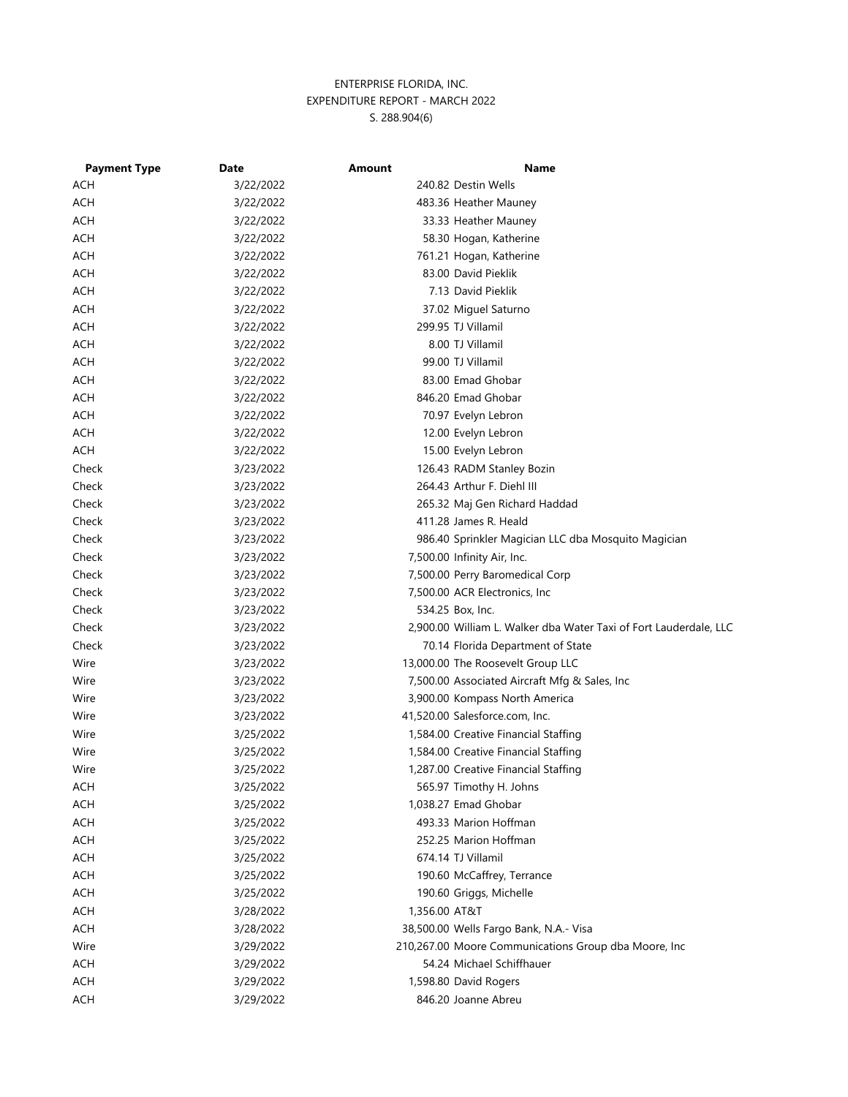| <b>Payment Type</b> | <b>Date</b> | Amount        | Name                                                              |
|---------------------|-------------|---------------|-------------------------------------------------------------------|
| ACH                 | 3/22/2022   |               | 240.82 Destin Wells                                               |
| ACH                 | 3/22/2022   |               | 483.36 Heather Mauney                                             |
| <b>ACH</b>          | 3/22/2022   |               | 33.33 Heather Mauney                                              |
| <b>ACH</b>          | 3/22/2022   |               | 58.30 Hogan, Katherine                                            |
| <b>ACH</b>          | 3/22/2022   |               | 761.21 Hogan, Katherine                                           |
| <b>ACH</b>          | 3/22/2022   |               | 83.00 David Pieklik                                               |
| <b>ACH</b>          | 3/22/2022   |               | 7.13 David Pieklik                                                |
| <b>ACH</b>          | 3/22/2022   |               | 37.02 Miguel Saturno                                              |
| <b>ACH</b>          | 3/22/2022   |               | 299.95 TJ Villamil                                                |
| <b>ACH</b>          | 3/22/2022   |               | 8.00 TJ Villamil                                                  |
| <b>ACH</b>          | 3/22/2022   |               | 99.00 TJ Villamil                                                 |
| <b>ACH</b>          | 3/22/2022   |               | 83.00 Emad Ghobar                                                 |
| <b>ACH</b>          | 3/22/2022   |               | 846.20 Emad Ghobar                                                |
| <b>ACH</b>          | 3/22/2022   |               | 70.97 Evelyn Lebron                                               |
| ACH                 | 3/22/2022   |               | 12.00 Evelyn Lebron                                               |
| <b>ACH</b>          | 3/22/2022   |               | 15.00 Evelyn Lebron                                               |
| Check               | 3/23/2022   |               | 126.43 RADM Stanley Bozin                                         |
| Check               | 3/23/2022   |               | 264.43 Arthur F. Diehl III                                        |
| Check               | 3/23/2022   |               | 265.32 Maj Gen Richard Haddad                                     |
| Check               | 3/23/2022   |               | 411.28 James R. Heald                                             |
| Check               | 3/23/2022   |               | 986.40 Sprinkler Magician LLC dba Mosquito Magician               |
| Check               | 3/23/2022   |               | 7,500.00 Infinity Air, Inc.                                       |
| Check               | 3/23/2022   |               | 7,500.00 Perry Baromedical Corp                                   |
| Check               | 3/23/2022   |               | 7,500.00 ACR Electronics, Inc                                     |
| Check               | 3/23/2022   |               | 534.25 Box, Inc.                                                  |
| Check               | 3/23/2022   |               | 2,900.00 William L. Walker dba Water Taxi of Fort Lauderdale, LLC |
| Check               | 3/23/2022   |               | 70.14 Florida Department of State                                 |
| Wire                | 3/23/2022   |               | 13,000.00 The Roosevelt Group LLC                                 |
| Wire                | 3/23/2022   |               | 7,500.00 Associated Aircraft Mfg & Sales, Inc                     |
| Wire                | 3/23/2022   |               | 3,900.00 Kompass North America                                    |
| Wire                | 3/23/2022   |               | 41,520.00 Salesforce.com, Inc.                                    |
| Wire                | 3/25/2022   |               | 1,584.00 Creative Financial Staffing                              |
| Wire                | 3/25/2022   |               | 1,584.00 Creative Financial Staffing                              |
| Wire                | 3/25/2022   |               | 1,287.00 Creative Financial Staffing                              |
| <b>ACH</b>          | 3/25/2022   |               | 565.97 Timothy H. Johns                                           |
| <b>ACH</b>          | 3/25/2022   |               | 1,038.27 Emad Ghobar                                              |
| <b>ACH</b>          | 3/25/2022   |               | 493.33 Marion Hoffman                                             |
| <b>ACH</b>          | 3/25/2022   |               | 252.25 Marion Hoffman                                             |
| <b>ACH</b>          | 3/25/2022   |               | 674.14 TJ Villamil                                                |
| <b>ACH</b>          | 3/25/2022   |               | 190.60 McCaffrey, Terrance                                        |
| <b>ACH</b>          | 3/25/2022   |               | 190.60 Griggs, Michelle                                           |
| <b>ACH</b>          | 3/28/2022   | 1,356.00 AT&T |                                                                   |
| <b>ACH</b>          | 3/28/2022   |               | 38,500.00 Wells Fargo Bank, N.A.- Visa                            |
| Wire                | 3/29/2022   |               | 210,267.00 Moore Communications Group dba Moore, Inc              |
| <b>ACH</b>          | 3/29/2022   |               | 54.24 Michael Schiffhauer                                         |
| <b>ACH</b>          | 3/29/2022   |               | 1,598.80 David Rogers                                             |
| <b>ACH</b>          | 3/29/2022   |               | 846.20 Joanne Abreu                                               |